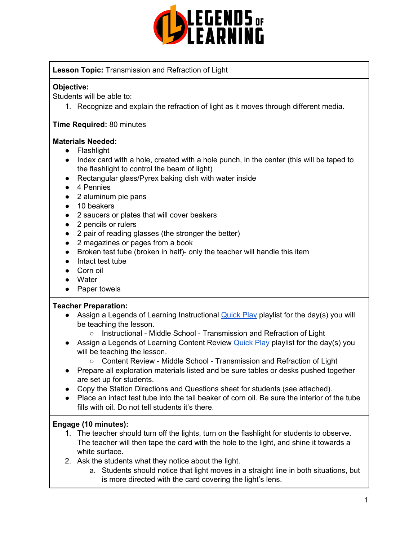

## **Lesson Topic:** Transmission and Refraction of Light

### **Objective:**

Students will be able to:

1. Recognize and explain the refraction of light as it moves through different media.

### **Time Required:** 80 minutes

### **Materials Needed:**

- Flashlight
- Index card with a hole, created with a hole punch, in the center (this will be taped to the flashlight to control the beam of light)
- Rectangular glass/Pyrex baking dish with water inside
- 4 Pennies
- 2 aluminum pie pans
- 10 beakers
- 2 saucers or plates that will cover beakers
- 2 pencils or rulers
- 2 pair of reading glasses (the stronger the better)
- 2 magazines or pages from a book
- Broken test tube (broken in half)- only the teacher will handle this item
- Intact test tube
- Corn oil
- Water
- Paper towels

### **Teacher Preparation:**

- Assign a Legends of Learning Instructional **[Quick](https://intercom.help/legends-of-learning/en/articles/2701866-assigning-a-quick-play-playlist) Play playlist for the day(s)** you will be teaching the lesson.
	- Instructional Middle School Transmission and Refraction of Light
- Assign a Legends of Learning Content Review [Quick](https://intercom.help/legends-of-learning/en/articles/2701866-assigning-a-quick-play-playlist) Play playlist for the day(s) you will be teaching the lesson.
	- Content Review Middle School Transmission and Refraction of Light
- Prepare all exploration materials listed and be sure tables or desks pushed together are set up for students.
- Copy the Station Directions and Questions sheet for students (see attached).
- Place an intact test tube into the tall beaker of corn oil. Be sure the interior of the tube fills with oil. Do not tell students it's there.

### **Engage (10 minutes):**

- 1. The teacher should turn off the lights, turn on the flashlight for students to observe. The teacher will then tape the card with the hole to the light, and shine it towards a white surface.
- 2. Ask the students what they notice about the light.
	- a. Students should notice that light moves in a straight line in both situations, but is more directed with the card covering the light's lens.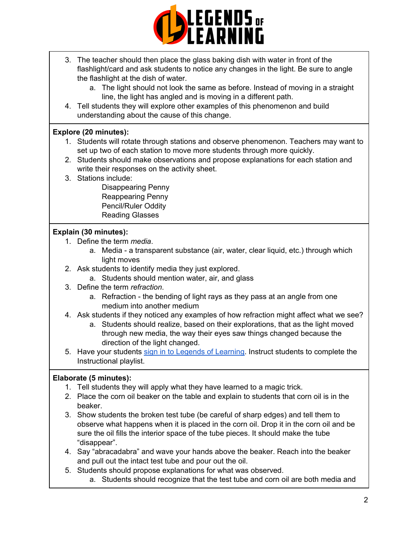

- 3. The teacher should then place the glass baking dish with water in front of the flashlight/card and ask students to notice any changes in the light. Be sure to angle the flashlight at the dish of water.
	- a. The light should not look the same as before. Instead of moving in a straight line, the light has angled and is moving in a different path.
- 4. Tell students they will explore other examples of this phenomenon and build understanding about the cause of this change.

## **Explore (20 minutes):**

- 1. Students will rotate through stations and observe phenomenon. Teachers may want to set up two of each station to move more students through more quickly.
- 2. Students should make observations and propose explanations for each station and write their responses on the activity sheet.
- 3. Stations include:

Disappearing Penny Reappearing Penny Pencil/Ruler Oddity Reading Glasses

## **Explain (30 minutes):**

- 1. Define the term *media*.
	- a. Media a transparent substance (air, water, clear liquid, etc.) through which light moves
- 2. Ask students to identify media they just explored.
	- a. Students should mention water, air, and glass
- 3. Define the term *refraction*.
	- a. Refraction the bending of light rays as they pass at an angle from one medium into another medium
- 4. Ask students if they noticed any examples of how refraction might affect what we see?
	- a. Students should realize, based on their explorations, that as the light moved through new media, the way their eyes saw things changed because the direction of the light changed.
- 5. Have your students sign in to Legends of [Learning](https://intercom.help/legends-of-learning/en/articles/2154920-students-joining-a-playlist). Instruct students to complete the Instructional playlist.

## **Elaborate (5 minutes):**

- 1. Tell students they will apply what they have learned to a magic trick.
- 2. Place the corn oil beaker on the table and explain to students that corn oil is in the beaker.
- 3. Show students the broken test tube (be careful of sharp edges) and tell them to observe what happens when it is placed in the corn oil. Drop it in the corn oil and be sure the oil fills the interior space of the tube pieces. It should make the tube "disappear".
- 4. Say "abracadabra" and wave your hands above the beaker. Reach into the beaker and pull out the intact test tube and pour out the oil.
- 5. Students should propose explanations for what was observed.
	- a. Students should recognize that the test tube and corn oil are both media and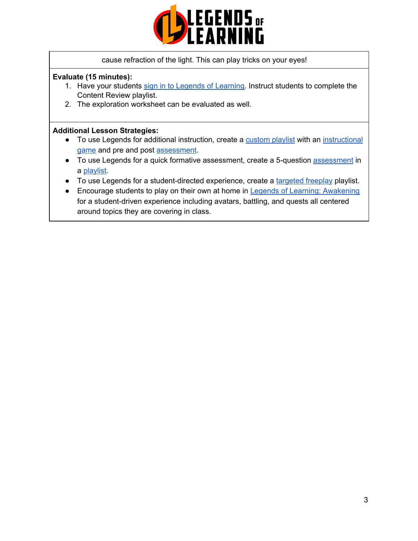

### cause refraction of the light. This can play tricks on your eyes!

### **Evaluate (15 minutes):**

- 1. Have your students sign in to Legends of [Learning](https://intercom.help/legends-of-learning/en/articles/2154920-students-joining-a-playlist). Instruct students to complete the Content Review playlist.
- 2. The exploration worksheet can be evaluated as well.

### **Additional Lesson Strategies:**

- To use Legends for additional instruction, create a [custom](https://intercom.help/legends-of-learning/en/articles/2154910-creating-a-playlist) playlist with an [instructional](https://intercom.help/legends-of-learning/en/articles/3505828-types-of-games) [game](https://intercom.help/legends-of-learning/en/articles/3505828-types-of-games) and pre and post [assessment](https://intercom.help/legends-of-learning/en/articles/2154913-adding-assessments-to-a-playlist).
- To use Legends for a quick formative [assessment](https://intercom.help/legends-of-learning/en/articles/2154913-adding-assessments-to-a-playlist), create a 5-question assessment in a [playlist](https://intercom.help/legends-of-learning/en/articles/2154910-creating-a-playlist).
- To use Legends for a student-directed experience, create a [targeted](https://intercom.help/legends-of-learning/en/articles/3340814-targeted-freeplay) freeplay playlist.
- Encourage students to play on their own at home in Legends of Learning: [Awakening](https://intercom.help/legends-of-learning/en/articles/2425490-legends-of-learning-awakening) for a student-driven experience including avatars, battling, and quests all centered around topics they are covering in class.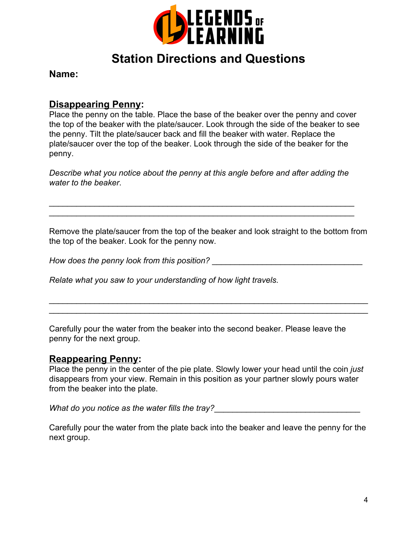

# **Station Directions and Questions**

**Name:**

## **Disappearing Penny:**

Place the penny on the table. Place the base of the beaker over the penny and cover the top of the beaker with the plate/saucer. Look through the side of the beaker to see the penny. Tilt the plate/saucer back and fill the beaker with water. Replace the plate/saucer over the top of the beaker. Look through the side of the beaker for the penny.

*Describe what you notice about the penny at this angle before and after adding the water to the beaker*.

\_\_\_\_\_\_\_\_\_\_\_\_\_\_\_\_\_\_\_\_\_\_\_\_\_\_\_\_\_\_\_\_\_\_\_\_\_\_\_\_\_\_\_\_\_\_\_\_\_\_\_\_\_\_\_\_\_\_\_\_\_\_\_\_\_\_\_ \_\_\_\_\_\_\_\_\_\_\_\_\_\_\_\_\_\_\_\_\_\_\_\_\_\_\_\_\_\_\_\_\_\_\_\_\_\_\_\_\_\_\_\_\_\_\_\_\_\_\_\_\_\_\_\_\_\_\_\_\_\_\_\_\_\_\_

Remove the plate/saucer from the top of the beaker and look straight to the bottom from the top of the beaker. Look for the penny now.

\_\_\_\_\_\_\_\_\_\_\_\_\_\_\_\_\_\_\_\_\_\_\_\_\_\_\_\_\_\_\_\_\_\_\_\_\_\_\_\_\_\_\_\_\_\_\_\_\_\_\_\_\_\_\_\_\_\_\_\_\_\_\_\_\_\_\_\_\_\_ \_\_\_\_\_\_\_\_\_\_\_\_\_\_\_\_\_\_\_\_\_\_\_\_\_\_\_\_\_\_\_\_\_\_\_\_\_\_\_\_\_\_\_\_\_\_\_\_\_\_\_\_\_\_\_\_\_\_\_\_\_\_\_\_\_\_\_\_\_\_

*How does the penny look from this position?* The mass of the penny look from this position?

*Relate what you saw to your understanding of how light travels.*

Carefully pour the water from the beaker into the second beaker. Please leave the penny for the next group.

## **Reappearing Penny:**

Place the penny in the center of the pie plate. Slowly lower your head until the coin *just* disappears from your view. Remain in this position as your partner slowly pours water from the beaker into the plate.

What do you notice as the water fills the tray?

Carefully pour the water from the plate back into the beaker and leave the penny for the next group.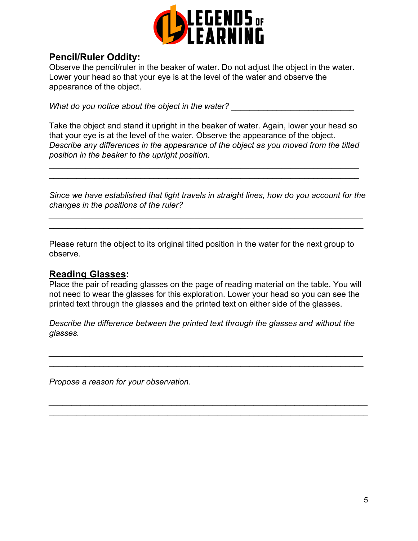

# **Pencil/Ruler Oddity:**

Observe the pencil/ruler in the beaker of water. Do not adjust the object in the water. Lower your head so that your eye is at the level of the water and observe the appearance of the object.

*What do you notice about the object in the water?* 

Take the object and stand it upright in the beaker of water. Again, lower your head so that your eye is at the level of the water. Observe the appearance of the object. *Describe any differences in the appearance of the object as you moved from the tilted position in the beaker to the upright position*.

\_\_\_\_\_\_\_\_\_\_\_\_\_\_\_\_\_\_\_\_\_\_\_\_\_\_\_\_\_\_\_\_\_\_\_\_\_\_\_\_\_\_\_\_\_\_\_\_\_\_\_\_\_\_\_\_\_\_\_\_\_\_\_\_\_\_\_\_ \_\_\_\_\_\_\_\_\_\_\_\_\_\_\_\_\_\_\_\_\_\_\_\_\_\_\_\_\_\_\_\_\_\_\_\_\_\_\_\_\_\_\_\_\_\_\_\_\_\_\_\_\_\_\_\_\_\_\_\_\_\_\_\_\_\_\_\_

*Since we have established that light travels in straight lines, how do you account for the changes in the positions of the ruler?*

*\_\_\_\_\_\_\_\_\_\_\_\_\_\_\_\_\_\_\_\_\_\_\_\_\_\_\_\_\_\_\_\_\_\_\_\_\_\_\_\_\_\_\_\_\_\_\_\_\_\_\_\_\_\_\_\_\_\_\_\_\_\_\_\_\_\_\_\_\_* \_\_\_\_\_\_\_\_\_\_\_\_\_\_\_\_\_\_\_\_\_\_\_\_\_\_\_\_\_\_\_\_\_\_\_\_\_\_\_\_\_\_\_\_\_\_\_\_\_\_\_\_\_\_\_\_\_\_\_\_\_\_\_\_\_\_\_\_\_

Please return the object to its original tilted position in the water for the next group to observe.

## **Reading Glasses:**

Place the pair of reading glasses on the page of reading material on the table. You will not need to wear the glasses for this exploration. Lower your head so you can see the printed text through the glasses and the printed text on either side of the glasses.

*Describe the difference between the printed text through the glasses and without the glasses.*

*\_\_\_\_\_\_\_\_\_\_\_\_\_\_\_\_\_\_\_\_\_\_\_\_\_\_\_\_\_\_\_\_\_\_\_\_\_\_\_\_\_\_\_\_\_\_\_\_\_\_\_\_\_\_\_\_\_\_\_\_\_\_\_\_\_\_\_\_\_* \_\_\_\_\_\_\_\_\_\_\_\_\_\_\_\_\_\_\_\_\_\_\_\_\_\_\_\_\_\_\_\_\_\_\_\_\_\_\_\_\_\_\_\_\_\_\_\_\_\_\_\_\_\_\_\_\_\_\_\_\_\_\_\_\_\_\_\_\_

*\_\_\_\_\_\_\_\_\_\_\_\_\_\_\_\_\_\_\_\_\_\_\_\_\_\_\_\_\_\_\_\_\_\_\_\_\_\_\_\_\_\_\_\_\_\_\_\_\_\_\_\_\_\_\_\_\_\_\_\_\_\_\_\_\_\_\_\_\_\_* \_\_\_\_\_\_\_\_\_\_\_\_\_\_\_\_\_\_\_\_\_\_\_\_\_\_\_\_\_\_\_\_\_\_\_\_\_\_\_\_\_\_\_\_\_\_\_\_\_\_\_\_\_\_\_\_\_\_\_\_\_\_\_\_\_\_\_\_\_\_

*Propose a reason for your observation.*